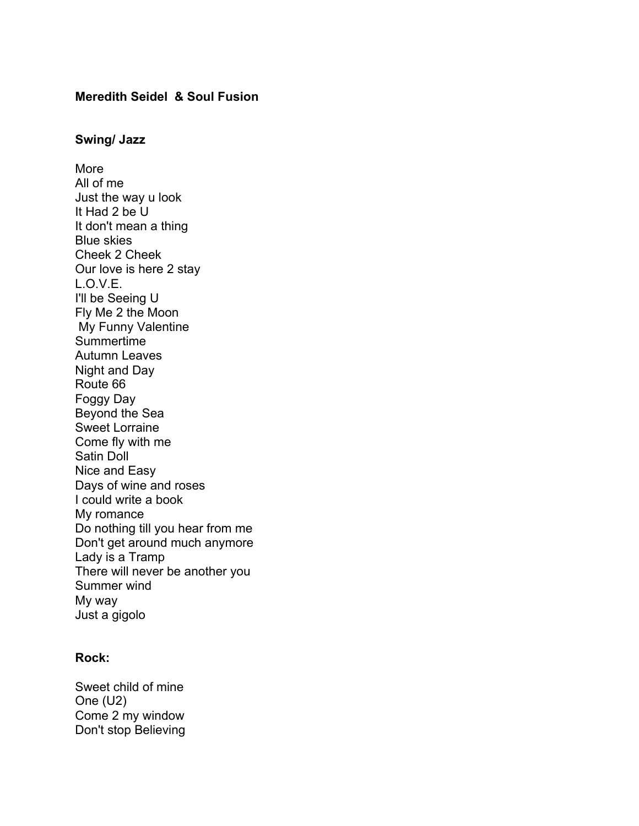# **Meredith Seidel & Soul Fusion**

#### **Swing/ Jazz**

More All of me Just the way u look It Had 2 be U It don't mean a thing Blue skies Cheek 2 Cheek Our love is here 2 stay L.O.V.E. I'll be Seeing U Fly Me 2 the Moon My Funny Valentine Summertime Autumn Leaves Night and Day Route 66 Foggy Day Beyond the Sea Sweet Lorraine Come fly with me Satin Doll Nice and Easy Days of wine and roses I could write a book My romance Do nothing till you hear from me Don't get around much anymore Lady is a Tramp There will never be another you Summer wind My way Just a gigolo

## **Rock:**

Sweet child of mine One (U2) Come 2 my window Don't stop Believing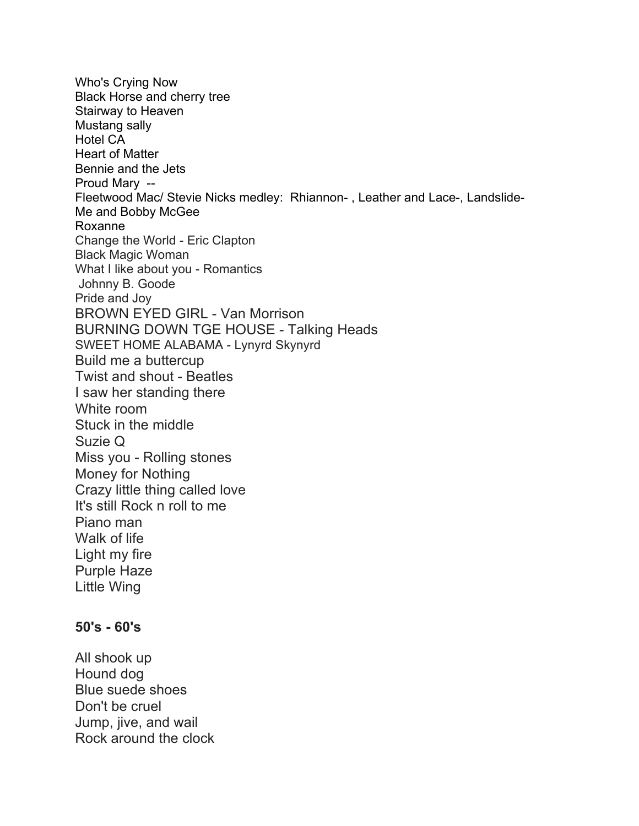Who's Crying Now Black Horse and cherry tree Stairway to Heaven Mustang sally Hotel CA Heart of Matter Bennie and the Jets Proud Mary -- Fleetwood Mac/ Stevie Nicks medley: Rhiannon- , Leather and Lace-, Landslide-Me and Bobby McGee Roxanne Change the World - Eric Clapton Black Magic Woman What I like about you - Romantics Johnny B. Goode Pride and Joy BROWN EYED GIRL - Van Morrison BURNING DOWN TGE HOUSE - Talking Heads SWEET HOME ALABAMA - Lynyrd Skynyrd Build me a buttercup Twist and shout - Beatles I saw her standing there White room Stuck in the middle Suzie Q Miss you - Rolling stones Money for Nothing Crazy little thing called love It's still Rock n roll to me Piano man Walk of life Light my fire Purple Haze Little Wing

# **50's - 60's**

All shook up Hound dog Blue suede shoes Don't be cruel Jump, jive, and wail Rock around the clock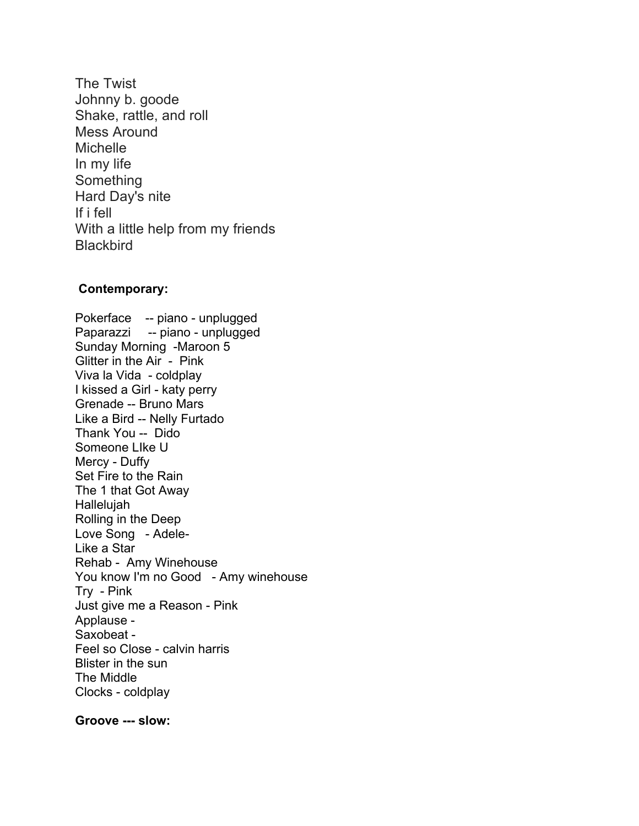The Twist Johnny b. goode Shake, rattle, and roll Mess Around **Michelle** In my life Something Hard Day's nite If i fell With a little help from my friends **Blackbird** 

### **Contemporary:**

Pokerface -- piano - unplugged Paparazzi -- piano - unplugged Sunday Morning -Maroon 5 Glitter in the Air - Pink Viva la Vida - coldplay I kissed a Girl - katy perry Grenade -- Bruno Mars Like a Bird -- Nelly Furtado Thank You -- Dido Someone LIke U Mercy - Duffy Set Fire to the Rain The 1 that Got Away Hallelujah Rolling in the Deep Love Song - Adele-Like a Star Rehab - Amy Winehouse You know I'm no Good - Amy winehouse Try - Pink Just give me a Reason - Pink Applause - Saxobeat - Feel so Close - calvin harris Blister in the sun The Middle Clocks - coldplay

**Groove --- slow:**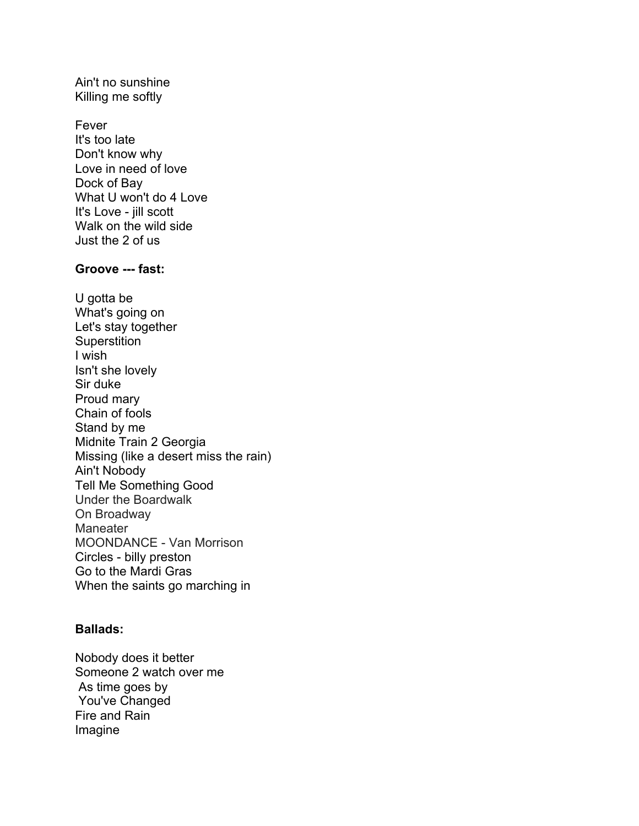Ain't no sunshine Killing me softly

Fever It's too late Don't know why Love in need of love Dock of Bay What U won't do 4 Love It's Love - jill scott Walk on the wild side Just the 2 of us

### **Groove --- fast:**

U gotta be What's going on Let's stay together **Superstition** I wish Isn't she lovely Sir duke Proud mary Chain of fools Stand by me Midnite Train 2 Georgia Missing (like a desert miss the rain) Ain't Nobody Tell Me Something Good Under the Boardwalk On Broadway **Maneater** MOONDANCE - Van Morrison Circles - billy preston Go to the Mardi Gras When the saints go marching in

# **Ballads:**

Nobody does it better Someone 2 watch over me As time goes by You've Changed Fire and Rain Imagine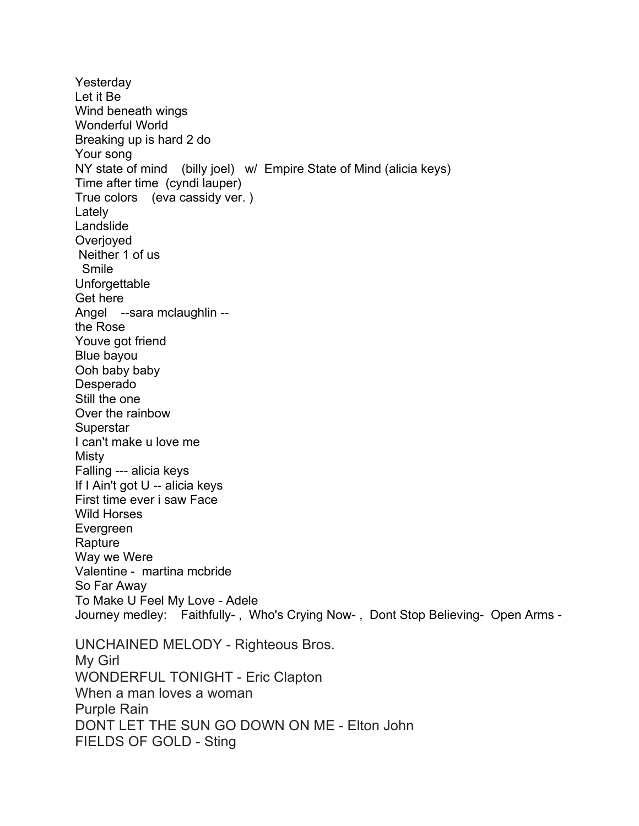Yesterday Let it Be Wind beneath wings Wonderful World Breaking up is hard 2 do Your song NY state of mind (billy joel) w/ Empire State of Mind (alicia keys) Time after time (cyndi lauper) True colors (eva cassidy ver. ) Lately Landslide Overjoyed Neither 1 of us Smile **Unforgettable** Get here Angel --sara mclaughlin - the Rose Youve got friend Blue bayou Ooh baby baby Desperado Still the one Over the rainbow **Superstar** I can't make u love me Misty Falling --- alicia keys If I Ain't got U -- alicia keys First time ever i saw Face Wild Horses Evergreen Rapture Way we Were Valentine - martina mcbride So Far Away To Make U Feel My Love - Adele Journey medley: Faithfully- , Who's Crying Now- , Dont Stop Believing- Open Arms - UNCHAINED MELODY - Righteous Bros. My Girl WONDERFUL TONIGHT - Eric Clapton When a man loves a woman Purple Rain DONT LET THE SUN GO DOWN ON ME - Elton John FIELDS OF GOLD - Sting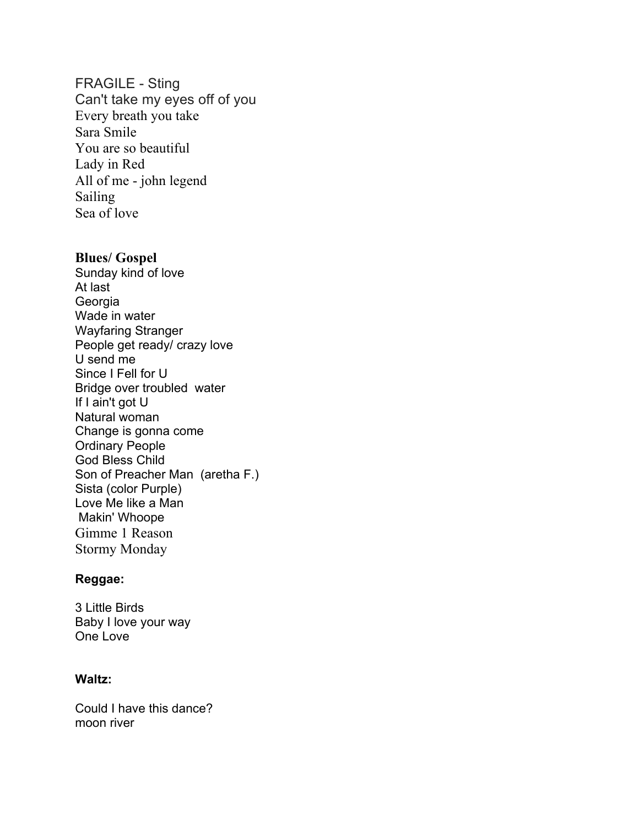## FRAGILE - Sting

Can't take my eyes off of you Every breath you take Sara Smile You are so beautiful Lady in Red All of me - john legend Sailing Sea of love

## **Blues/ Gospel**

Sunday kind of love At last Georgia Wade in water Wayfaring Stranger People get ready/ crazy love U send me Since I Fell for U Bridge over troubled water If I ain't got U Natural woman Change is gonna come Ordinary People God Bless Child Son of Preacher Man (aretha F.) Sista (color Purple) Love Me like a Man Makin' Whoope Gimme 1 Reason Stormy Monday

## **Reggae:**

3 Little Birds Baby I love your way One Love

# **Waltz:**

Could I have this dance? moon river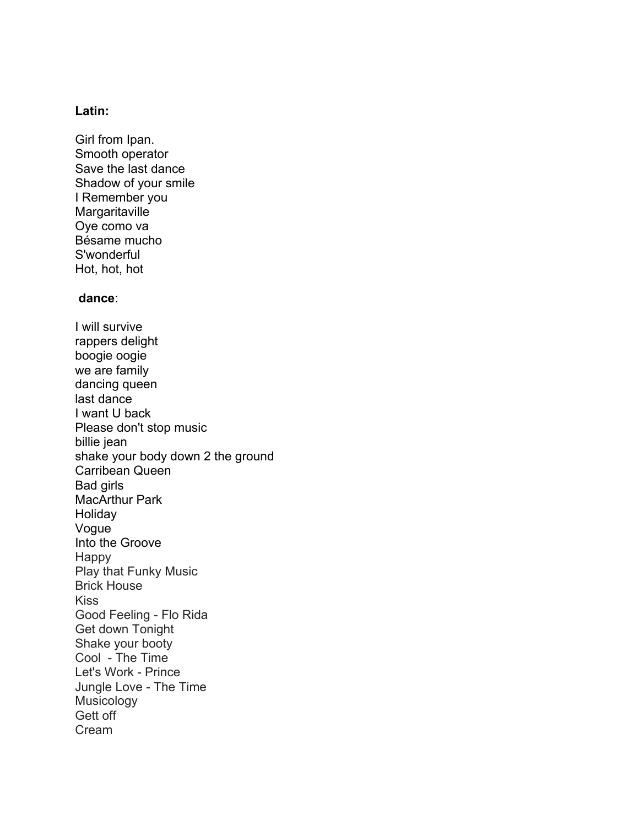### **Latin:**

Girl from Ipan. Smooth operator Save the last dance Shadow of your smile I Remember you **Margaritaville** Oye como va Bésame mucho S'wonderful Hot, hot, hot

## **dance**:

I will survive rappers delight boogie oogie we are family dancing queen last dance I want U back Please don't stop music billie jean shake your body down 2 the ground Carribean Queen Bad girls MacArthur Park Holiday Vogue Into the Groove Happy Play that Funky Music Brick House Kiss Good Feeling - Flo Rida Get down Tonight Shake your booty Cool - The Time Let's Work - Prince Jungle Love - The Time Musicology Gett off Cream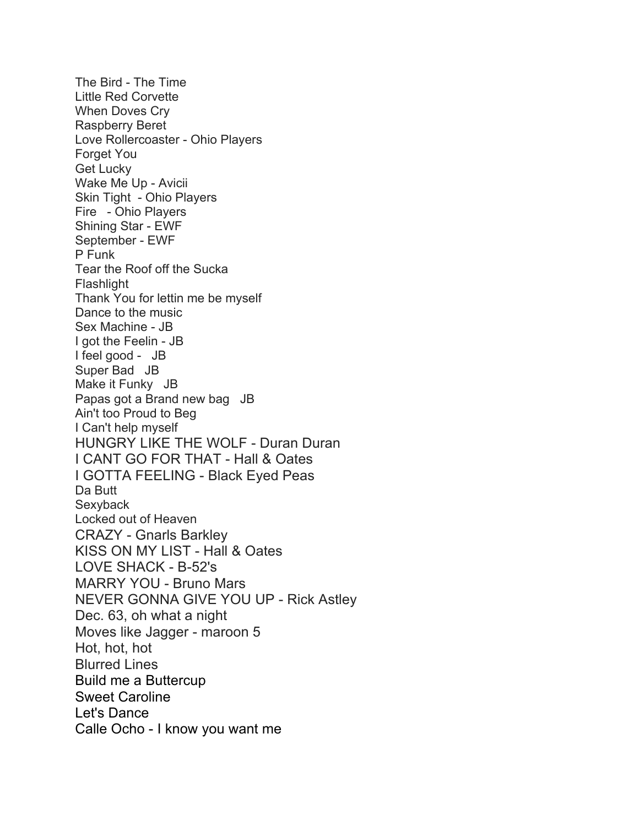The Bird - The Time Little Red Corvette When Doves Cry Raspberry Beret Love Rollercoaster - Ohio Players Forget You Get Lucky Wake Me Up - Avicii Skin Tight - Ohio Players Fire - Ohio Players Shining Star - EWF September - EWF P Funk Tear the Roof off the Sucka Flashlight Thank You for lettin me be myself Dance to the music Sex Machine - JB I got the Feelin - JB I feel good - JB Super Bad JB Make it Funky JB Papas got a Brand new bag JB Ain't too Proud to Beg I Can't help myself HUNGRY LIKE THE WOLF - Duran Duran I CANT GO FOR THAT - Hall & Oates I GOTTA FEELING - Black Eyed Peas Da Butt **Sexyback** Locked out of Heaven CRAZY - Gnarls Barkley KISS ON MY LIST - Hall & Oates LOVE SHACK - B-52's MARRY YOU - Bruno Mars NEVER GONNA GIVE YOU UP - Rick Astley Dec. 63, oh what a night Moves like Jagger - maroon 5 Hot, hot, hot Blurred Lines Build me a Buttercup Sweet Caroline Let's Dance Calle Ocho - I know you want me